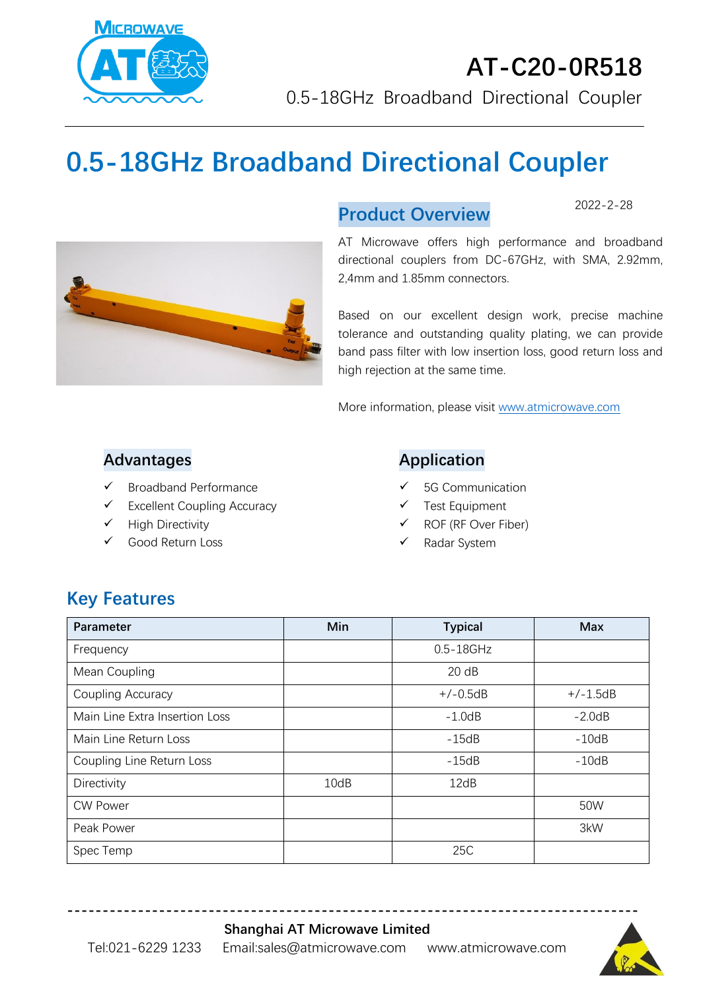

# **0.5-18GHz Broadband Directional Coupler**



#### **Product Overview**

2022-2-28

AT Microwave offers high performance and broadband directional couplers from DC-67GHz, with SMA, 2.92mm, 2,4mm and 1.85mm connectors.

Based on our excellent design work, precise machine tolerance and outstanding quality plating, we can provide band pass filter with low insertion loss, good return loss and high rejection at the same time.

More information, please visit [www.atmicrowave.com](http://www.atmicrowave.com/)

#### **Advantages**

- ✓ Broadband Performance
- $\checkmark$  Excellent Coupling Accuracy
- ✓ High Directivity
- ✓ Good Return Loss

#### **Application**

- 5G Communication
- Test Equipment
- ✓ ROF (RF Over Fiber)
- Radar System

## **Key Features**

| Parameter                      | Min  | <b>Typical</b> | <b>Max</b> |
|--------------------------------|------|----------------|------------|
| Frequency                      |      | $0.5 - 18$ GHz |            |
| Mean Coupling                  |      | 20 dB          |            |
| Coupling Accuracy              |      | $+/-0.5dB$     | $+/-1.5dB$ |
| Main Line Extra Insertion Loss |      | $-1.0$ d $B$   | $-2.0dB$   |
| Main Line Return Loss          |      | $-15dB$        | $-10dB$    |
| Coupling Line Return Loss      |      | $-15dB$        | $-10dB$    |
| Directivity                    | 10dB | 12dB           |            |
| <b>CW Power</b>                |      |                | 50W        |
| Peak Power                     |      |                | 3kW        |
| Spec Temp                      |      | 25C            |            |

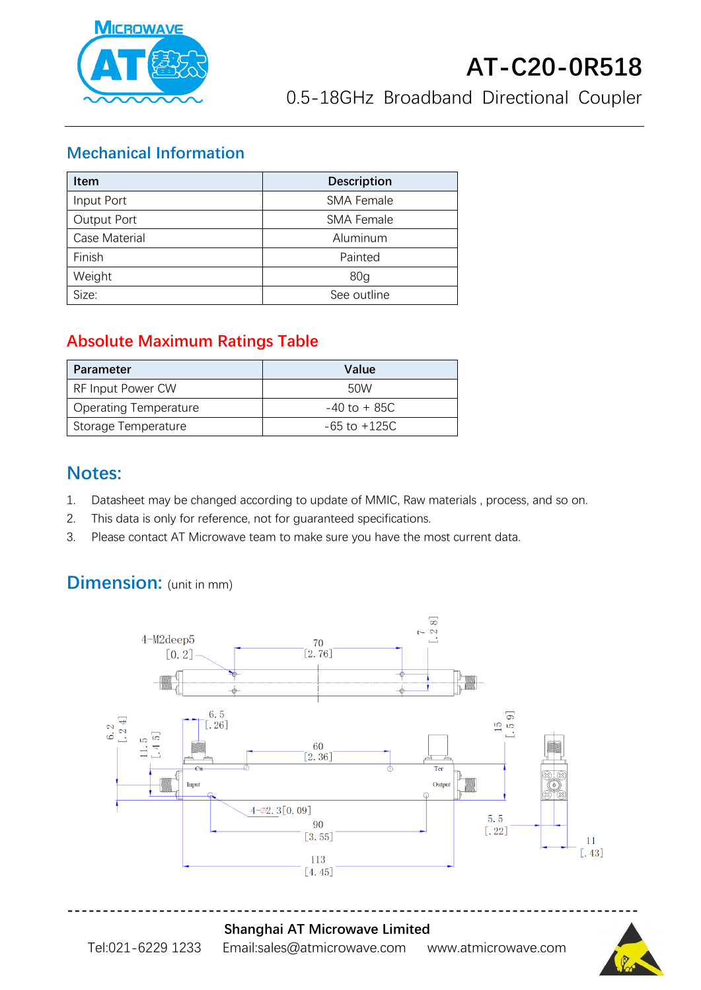

#### **Mechanical Information**

| <b>Item</b>   | <b>Description</b> |  |
|---------------|--------------------|--|
| Input Port    | <b>SMA Female</b>  |  |
| Output Port   | <b>SMA Female</b>  |  |
| Case Material | Aluminum           |  |
| Finish        | Painted            |  |
| Weight        | 80 <sub>q</sub>    |  |
| Size:         | See outline        |  |

### **Absolute Maximum Ratings Table**

| <b>Parameter</b>             | Value            |
|------------------------------|------------------|
| <b>RF Input Power CW</b>     | 50W              |
| <b>Operating Temperature</b> | $-40$ to $+85C$  |
| Storage Temperature          | $-65$ to $+125C$ |

### **Notes:**

- 1. Datasheet may be changed according to update of MMIC, Raw materials , process, and so on.
- 2. This data is only for reference, not for guaranteed specifications.
- 3. Please contact AT Microwave team to make sure you have the most current data.

## **Dimension:** (unit in mm)



**Shanghai AT Microwave Limited**